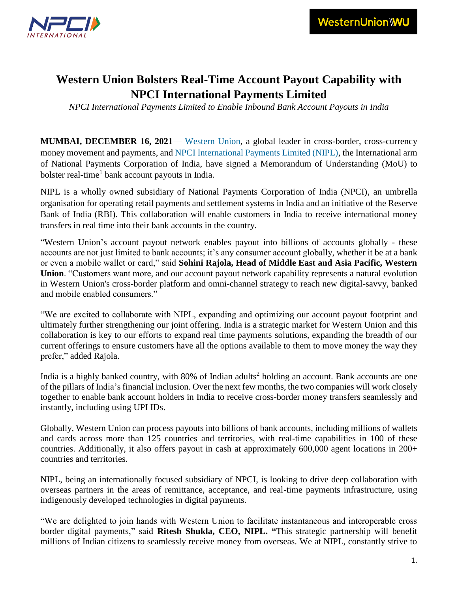

## **Western Union Bolsters Real-Time Account Payout Capability with NPCI International Payments Limited**

*NPCI International Payments Limited to Enable Inbound Bank Account Payouts in India*

**MUMBAI, DECEMBER 16, 2021**— [Western Union,](https://corporate.westernunion.com/index.html) a global leader in cross-border, cross-currency money movement and payments, and [NPCI International Payments Limited \(NIPL\),](https://www.npci.org.in/who-we-are/group-companies/npci-international) the International arm of National Payments Corporation of India, have signed a Memorandum of Understanding (MoU) to bolster real-time<sup>1</sup> bank account payouts in India.

NIPL is a wholly owned subsidiary of National Payments Corporation of India (NPCI), an umbrella organisation for operating retail payments and settlement systems in India and an initiative of the Reserve Bank of India (RBI). This collaboration will enable customers in India to receive international money transfers in real time into their bank accounts in the country.

"Western Union's account payout network enables payout into billions of accounts globally - these accounts are not just limited to bank accounts; it's any consumer account globally, whether it be at a bank or even a mobile wallet or card," said **Sohini Rajola, Head of Middle East and Asia Pacific, Western Union**. "Customers want more, and our account payout network capability represents a natural evolution in Western Union's cross-border platform and omni-channel strategy to reach new digital-savvy, banked and mobile enabled consumers."

"We are excited to collaborate with NIPL, expanding and optimizing our account payout footprint and ultimately further strengthening our joint offering. India is a strategic market for Western Union and this collaboration is key to our efforts to expand real time payments solutions, expanding the breadth of our current offerings to ensure customers have all the options available to them to move money the way they prefer," added Rajola.

India is a highly banked country, with 80% of Indian adults<sup>2</sup> holding an account. Bank accounts are one of the pillars of India's financial inclusion. Over the next few months, the two companies will work closely together to enable bank account holders in India to receive cross-border money transfers seamlessly and instantly, including using UPI IDs.

Globally, Western Union can process payouts into billions of bank accounts, including millions of wallets and cards across more than 125 countries and territories, with real-time capabilities in 100 of these countries. Additionally, it also offers payout in cash at approximately 600,000 agent locations in 200+ countries and territories.

NIPL, being an internationally focused subsidiary of NPCI, is looking to drive deep collaboration with overseas partners in the areas of remittance, acceptance, and real-time payments infrastructure, using indigenously developed technologies in digital payments.

"We are delighted to join hands with Western Union to facilitate instantaneous and interoperable cross border digital payments," said **Ritesh Shukla, CEO, NIPL. "**This strategic partnership will benefit millions of Indian citizens to seamlessly receive money from overseas. We at NIPL, constantly strive to